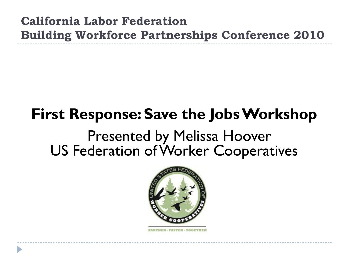**California Labor Federation Building Workforce Partnerships Conference 2010**

# **First Response: Save the Jobs Workshop**

## Presented by Melissa Hoover US Federation of Worker Cooperatives

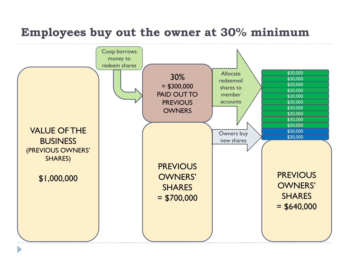#### **Employees buy out the owner at 30% minimum**

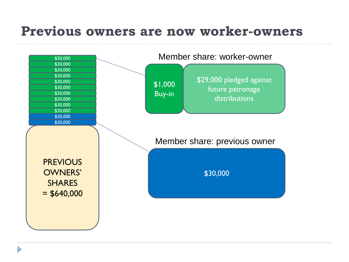### **Previous owners are now worker-owners**

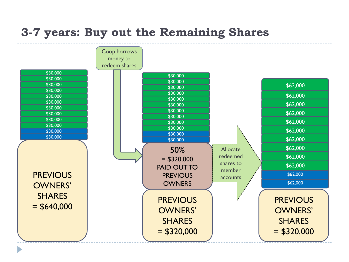#### **3-7 years: Buy out the Remaining Shares**

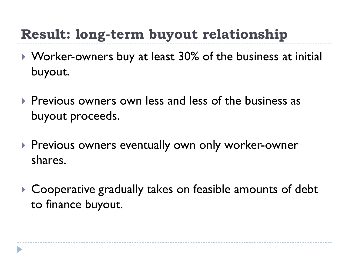## **Result: long-term buyout relationship**

- ▶ Worker-owners buy at least 30% of the business at initial buyout.
- **Previous owners own less and less of the business as** buyout proceeds.
- **Previous owners eventually own only worker-owner** shares.
- ▶ Cooperative gradually takes on feasible amounts of debt to finance buyout.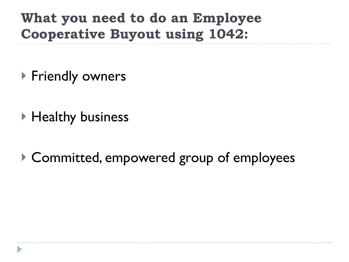**What you need to do an Employee Cooperative Buyout using 1042:**

- ▶ Friendly owners
- ▶ Healthy business
- ▶ Committed, empowered group of employees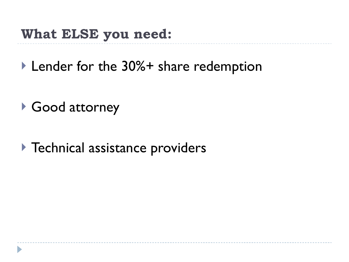### **What ELSE you need:**

▶ Lender for the 30%+ share redemption

- ▶ Good attorney
- ▶ Technical assistance providers